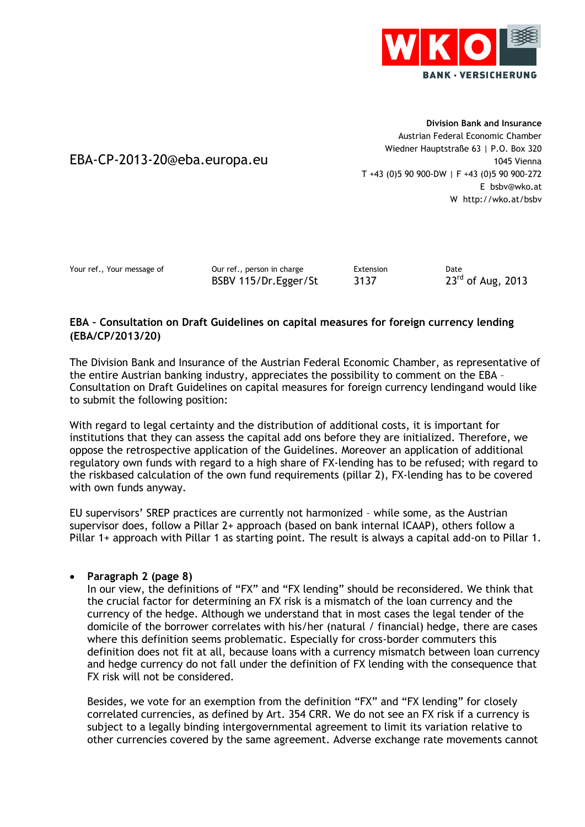

EBA-CP-2013-20@eba.europa.eu

**Division Bank and Insurance** Austrian Federal Economic Chamber Wiedner Hauptstraße 63 | P.O. Box 320 1045 Vienna T +43 (0)5 90 900-DW | F +43 (0)5 90 900-272 E bsbv@wko.at W http://wko.at/bsbv

Your ref., Your message of Our ref., person in charge Extension bate<br>BSBV 115/Dr.Egger/St 3137 23<sup>rd</sup> of Aug, 2013 BSBV 115/Dr.Egger/St 3137

# **EBA – Consultation on Draft Guidelines on capital measures for foreign currency lending (EBA/CP/2013/20)**

The Division Bank and Insurance of the Austrian Federal Economic Chamber, as representative of the entire Austrian banking industry, appreciates the possibility to comment on the EBA – Consultation on Draft Guidelines on capital measures for foreign currency lendingand would like to submit the following position:

With regard to legal certainty and the distribution of additional costs, it is important for institutions that they can assess the capital add ons before they are initialized. Therefore, we oppose the retrospective application of the Guidelines. Moreover an application of additional regulatory own funds with regard to a high share of FX-lending has to be refused; with regard to the riskbased calculation of the own fund requirements (pillar 2), FX-lending has to be covered with own funds anyway.

EU supervisors' SREP practices are currently not harmonized – while some, as the Austrian supervisor does, follow a Pillar 2+ approach (based on bank internal ICAAP), others follow a Pillar 1+ approach with Pillar 1 as starting point. The result is always a capital add-on to Pillar 1.

# **Paragraph 2 (page 8)**

In our view, the definitions of "FX" and "FX lending" should be reconsidered. We think that the crucial factor for determining an FX risk is a mismatch of the loan currency and the currency of the hedge. Although we understand that in most cases the legal tender of the domicile of the borrower correlates with his/her (natural / financial) hedge, there are cases where this definition seems problematic. Especially for cross-border commuters this definition does not fit at all, because loans with a currency mismatch between loan currency and hedge currency do not fall under the definition of FX lending with the consequence that FX risk will not be considered.

Besides, we vote for an exemption from the definition "FX" and "FX lending" for closely correlated currencies, as defined by Art. 354 CRR. We do not see an FX risk if a currency is subject to a legally binding intergovernmental agreement to limit its variation relative to other currencies covered by the same agreement. Adverse exchange rate movements cannot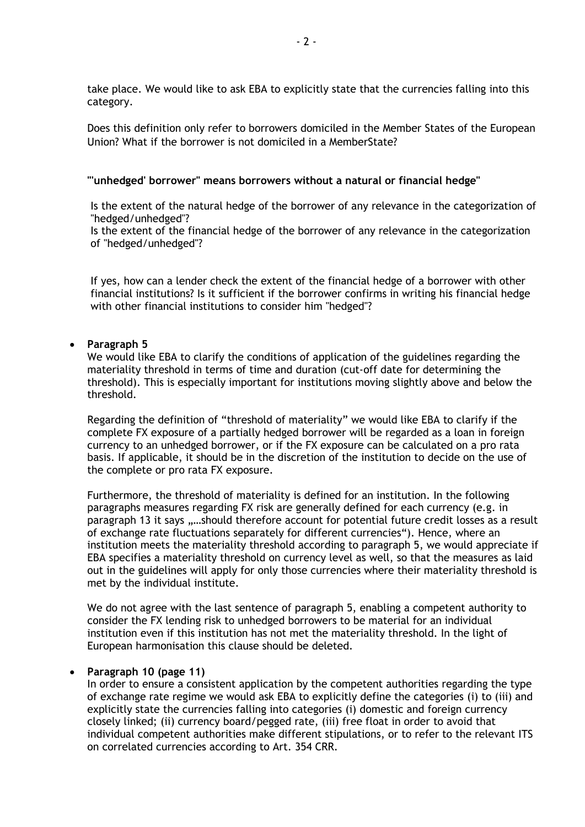take place. We would like to ask EBA to explicitly state that the currencies falling into this category.

Does this definition only refer to borrowers domiciled in the Member States of the European Union? What if the borrower is not domiciled in a MemberState?

#### **"'unhedged' borrower" means borrowers without a natural or financial hedge"**

Is the extent of the natural hedge of the borrower of any relevance in the categorization of "hedged/unhedged"?

Is the extent of the financial hedge of the borrower of any relevance in the categorization of "hedged/unhedged"?

If yes, how can a lender check the extent of the financial hedge of a borrower with other financial institutions? Is it sufficient if the borrower confirms in writing his financial hedge with other financial institutions to consider him "hedged"?

### **Paragraph 5**

We would like EBA to clarify the conditions of application of the guidelines regarding the materiality threshold in terms of time and duration (cut-off date for determining the threshold). This is especially important for institutions moving slightly above and below the threshold.

Regarding the definition of "threshold of materiality" we would like EBA to clarify if the complete FX exposure of a partially hedged borrower will be regarded as a loan in foreign currency to an unhedged borrower, or if the FX exposure can be calculated on a pro rata basis. If applicable, it should be in the discretion of the institution to decide on the use of the complete or pro rata FX exposure.

Furthermore, the threshold of materiality is defined for an institution. In the following paragraphs measures regarding FX risk are generally defined for each currency (e.g. in paragraph 13 it says ,....should therefore account for potential future credit losses as a result of exchange rate fluctuations separately for different currencies"). Hence, where an institution meets the materiality threshold according to paragraph 5, we would appreciate if EBA specifies a materiality threshold on currency level as well, so that the measures as laid out in the guidelines will apply for only those currencies where their materiality threshold is met by the individual institute.

We do not agree with the last sentence of paragraph 5, enabling a competent authority to consider the FX lending risk to unhedged borrowers to be material for an individual institution even if this institution has not met the materiality threshold. In the light of European harmonisation this clause should be deleted.

#### **Paragraph 10 (page 11)**

In order to ensure a consistent application by the competent authorities regarding the type of exchange rate regime we would ask EBA to explicitly define the categories (i) to (iii) and explicitly state the currencies falling into categories (i) domestic and foreign currency closely linked; (ii) currency board/pegged rate, (iii) free float in order to avoid that individual competent authorities make different stipulations, or to refer to the relevant ITS on correlated currencies according to Art. 354 CRR.